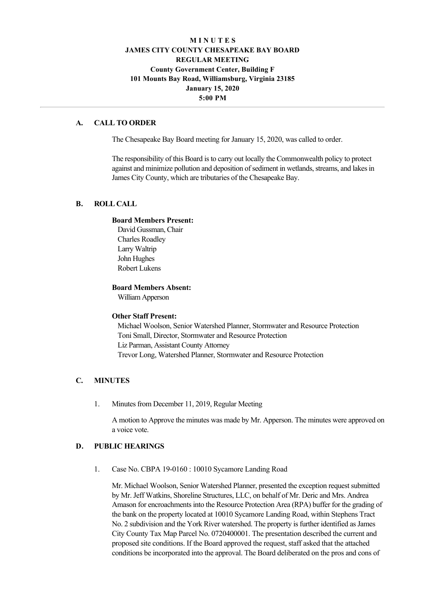# **M I N U T E S JAMES CITY COUNTY CHESAPEAKE BAY BOARD REGULAR MEETING County Government Center, Building F 101 Mounts Bay Road, Williamsburg, Virginia 23185 January 15, 2020 5:00 PM**

# **A. CALL TO ORDER**

The Chesapeake Bay Board meeting for January 15, 2020, was called to order.

The responsibility of this Board is to carry out locally the Commonwealth policy to protect against and minimize pollution and deposition of sediment in wetlands, streams, and lakes in James City County, which are tributaries of the Chesapeake Bay.

# **B. ROLL CALL**

#### **Board Members Present:**

David Gussman, Chair Charles Roadley Larry Waltrip John Hughes Robert Lukens

### **Board Members Absent:**

William Apperson

### **Other Staff Present:**

Michael Woolson, Senior Watershed Planner, Stormwater and Resource Protection Toni Small, Director, Stormwater and Resource Protection Liz Parman, Assistant County Attorney Trevor Long, Watershed Planner, Stormwater and Resource Protection

# **C. MINUTES**

1. Minutes from December 11, 2019, Regular Meeting

A motion to Approve the minutes was made by Mr. Apperson. The minutes were approved on a voice vote.

# **D. PUBLIC HEARINGS**

1. Case No. CBPA 19-0160 : 10010 Sycamore Landing Road

Mr. Michael Woolson, Senior Watershed Planner, presented the exception request submitted by Mr. Jeff Watkins, Shoreline Structures, LLC, on behalf of Mr. Deric and Mrs. Andrea Amason for encroachments into the Resource Protection Area (RPA) buffer for the grading of the bank on the property located at 10010 Sycamore Landing Road, within Stephens Tract No. 2 subdivision and the York River watershed. The property is further identified as James City County Tax Map Parcel No. 0720400001. The presentation described the current and proposed site conditions. If the Board approved the request, staff asked that the attached conditions be incorporated into the approval. The Board deliberated on the pros and cons of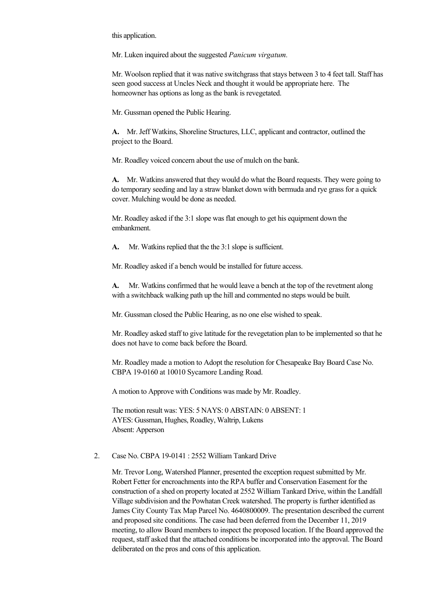this application.

Mr. Luken inquired about the suggested *Panicum virgatum.*

Mr. Woolson replied that it was native switchgrass that stays between 3 to 4 feet tall. Staff has seen good success at Uncles Neck and thought it would be appropriate here. The homeowner has options as long as the bank is revegetated.

Mr. Gussman opened the Public Hearing.

A. Mr. Jeff Watkins, Shoreline Structures, LLC, applicant and contractor, outlined the project to the Board.

Mr. Roadley voiced concern about the use of mulch on the bank.

**A.** Mr. Watkins answered that they would do what the Board requests. They were going to do temporary seeding and lay a straw blanket down with bermuda and rye grass for a quick cover. Mulching would be done as needed.

Mr. Roadley asked if the 3:1 slope was flat enough to get his equipment down the embankment.

A. Mr. Watkins replied that the the 3:1 slope is sufficient.

Mr. Roadley asked if a bench would be installed for future access.

**A.** Mr. Watkins confirmed that he would leave a bench at the top of the revetment along with a switchback walking path up the hill and commented no steps would be built.

Mr. Gussman closed the Public Hearing, as no one else wished to speak.

Mr. Roadley asked staff to give latitude for the revegetation plan to be implemented so that he does not have to come back before the Board.

Mr. Roadley made a motion to Adopt the resolution for Chesapeake Bay Board Case No. CBPA 19-0160 at 10010 Sycamore Landing Road.

A motion to Approve with Conditions was made by Mr. Roadley.

The motion result was: YES: 5 NAYS: 0 ABSTAIN: 0 ABSENT: 1 AYES: Gussman, Hughes, Roadley, Waltrip, Lukens Absent: Apperson

# 2. Case No. CBPA 19-0141 :  $2552$  William Tankard Drive

Mr. Trevor Long, Watershed Planner, presented the exception request submitted by Mr. Robert Fetter for encroachments into the RPA buffer and Conservation Easement for the construction of a shed on property located at 2552 William Tankard Drive, within the Landfall Village subdivision and the Powhatan Creek watershed. The property is further identified as James City County Tax Map Parcel No. 4640800009. The presentation described the current and proposed site conditions. The case had been deferred from the December 11, 2019 meeting, to allow Board members to inspect the proposed location. If the Board approved the request, staff asked that the attached conditions be incorporated into the approval. The Board deliberated on the pros and cons of this application.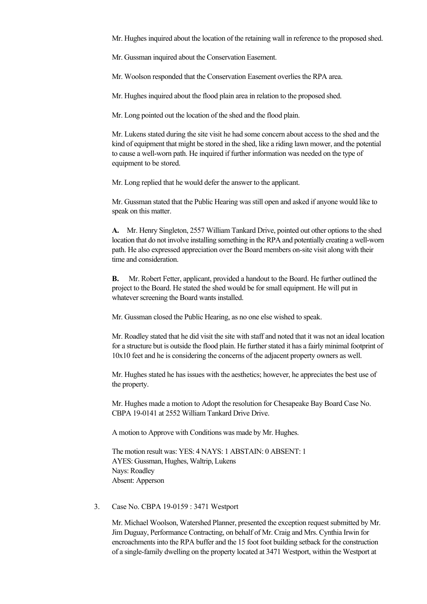Mr. Hughes inquired about the location of the retaining wall in reference to the proposed shed.

Mr. Gussman inquired about the Conservation Easement.

Mr. Woolson responded that the Conservation Easement overlies the RPA area.

Mr. Hughes inquired about the flood plain area in relation to the proposed shed.

Mr. Long pointed out the location of the shed and the flood plain.

Mr. Lukens stated during the site visit he had some concern about access to the shed and the kind of equipment that might be stored in the shed, like a riding lawn mower, and the potential to cause a well-worn path. He inquired if further information was needed on the type of equipment to be stored.

Mr. Long replied that he would defer the answer to the applicant.

Mr. Gussman stated that the Public Hearing was still open and asked if anyone would like to speak on this matter.

**A.** Mr. Henry Singleton, 2557 William Tankard Drive, pointed out other options to the shed location that do not involve installing something in the RPA and potentially creating a well-worn path. He also expressed appreciation over the Board members onsite visit along with their time and consideration.

**B.** Mr. Robert Fetter, applicant, provided a handout to the Board. He further outlined the project to the Board. He stated the shed would be for small equipment. He will put in whatever screening the Board wants installed.

Mr. Gussman closed the Public Hearing, as no one else wished to speak.

Mr. Roadley stated that he did visit the site with staff and noted that it was not an ideal location for a structure but is outside the flood plain. He further stated it has a fairly minimal footprint of 10x10 feet and he is considering the concerns of the adjacent property owners as well.

Mr. Hughes stated he has issues with the aesthetics; however, he appreciates the best use of the property.

Mr. Hughes made a motion to Adopt the resolution for Chesapeake Bay Board Case No. CBPA 19-0141 at 2552 William Tankard Drive Drive.

A motion to Approve with Conditions was made by Mr. Hughes.

The motion result was: YES: 4 NAYS: 1 ABSTAIN: 0 ABSENT: 1 AYES: Gussman, Hughes, Waltrip, Lukens Nays: Roadley Absent: Apperson

### 3. Case No. CBPA 19-0159 : 3471 Westport

Mr. Michael Woolson, Watershed Planner, presented the exception request submitted by Mr. Jim Duguay, Performance Contracting, on behalf of Mr. Craig and Mrs. Cynthia Irwin for encroachments into the RPA buffer and the 15 foot foot building setback for the construction of a single-family dwelling on the property located at 3471 Westport, within the Westport at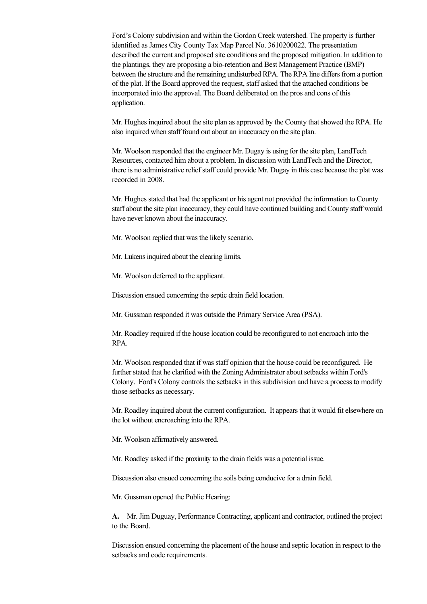Ford's Colony subdivision and within the Gordon Creek watershed. The property is further identified as James City County Tax Map Parcel No. 3610200022. The presentation described the current and proposed site conditions and the proposed mitigation. In addition to the plantings, they are proposing a bioretention and Best Management Practice (BMP) between the structure and the remaining undisturbed RPA. The RPA line differs from a portion of the plat. If the Board approved the request, staff asked that the attached conditions be incorporated into the approval. The Board deliberated on the pros and cons of this application.

Mr. Hughes inquired about the site plan as approved by the County that showed the RPA. He also inquired when staff found out about an inaccuracy on the site plan.

Mr. Woolson responded that the engineer Mr. Dugay is using for the site plan, LandTech Resources, contacted him about a problem. In discussion with LandTech and the Director, there is no administrative relief staff could provide Mr. Dugay in this case because the plat was recorded in 2008.

Mr. Hughes stated that had the applicant or his agent not provided the information to County staff about the site plan inaccuracy, they could have continued building and County staff would have never known about the inaccuracy.

Mr. Woolson replied that was the likely scenario.

Mr. Lukens inquired about the clearing limits.

Mr. Woolson deferred to the applicant.

Discussion ensued concerning the septic drain field location.

Mr. Gussman responded it was outside the Primary Service Area (PSA).

Mr. Roadley required if the house location could be reconfigured to not encroach into the RPA.

Mr. Woolson responded that if was staff opinion that the house could be reconfigured. He further stated that he clarified with the Zoning Administrator about setbacks within Ford's Colony. Ford's Colony controls the setbacks in this subdivision and have a process to modify those setbacks as necessary.

Mr. Roadley inquired about the current configuration. It appears that it would fit elsewhere on the lot without encroaching into the RPA.

Mr. Woolson affirmatively answered.

Mr. Roadley asked if the proximity to the drain fields was a potential issue.

Discussion also ensued concerning the soils being conducive for a drain field.

Mr. Gussman opened the Public Hearing:

**A.**  Mr. Jim Duguay, Performance Contracting, applicant and contractor, outlined the project to the Board.

Discussion ensued concerning the placement of the house and septic location in respect to the setbacks and code requirements.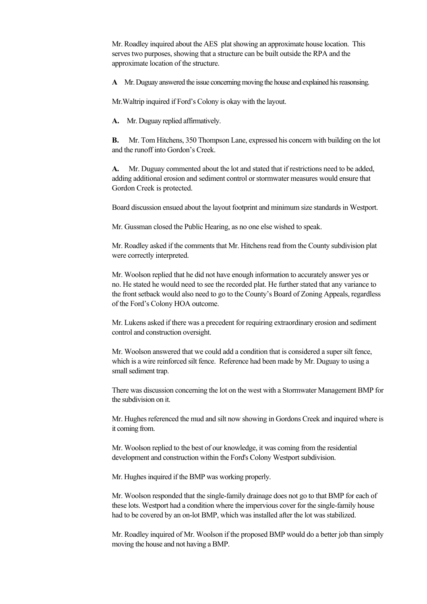Mr. Roadley inquired about the AES plat showing an approximate house location. This serves two purposes, showing that a structure can be built outside the RPA and the approximate location of the structure.

**A**  Mr. Duguay answered the issue concerning moving the house and explained his reasonsing.

Mr.Waltrip inquired if Ford's Colony is okay with the layout.

A. Mr. Duguay replied affirmatively.

**B.**  Mr. Tom Hitchens, 350 Thompson Lane, expressed his concern with building on the lot and the runoff into Gordon's Creek.

**A.** Mr. Duguay commented about the lot and stated that if restrictions need to be added, adding additional erosion and sediment control or stormwater measures would ensure that Gordon Creek is protected.

Board discussion ensued about the layout footprint and minimum size standards in Westport.

Mr. Gussman closed the Public Hearing, as no one else wished to speak.

Mr. Roadley asked if the comments that Mr. Hitchens read from the County subdivision plat were correctly interpreted.

Mr. Woolson replied that he did not have enough information to accurately answer yes or no. He stated he would need to see the recorded plat. He further stated that any variance to the front setback would also need to go to the County's Board of Zoning Appeals, regardless of the Ford's Colony HOA outcome.

Mr. Lukens asked if there was a precedent for requiring extraordinary erosion and sediment control and construction oversight.

Mr. Woolson answered that we could add a condition that is considered a super silt fence, which is a wire reinforced silt fence. Reference had been made by Mr. Duguay to using a small sediment trap.

There was discussion concerning the lot on the west with a Stormwater Management BMP for the subdivision on it.

Mr. Hughes referenced the mud and silt now showing in Gordons Creek and inquired where is it coming from.

Mr. Woolson replied to the best of our knowledge, it was coming from the residential development and construction within the Ford's Colony Westport subdivision.

Mr. Hughes inquired if the BMP was working properly.

Mr. Woolson responded that the single-family drainage does not go to that BMP for each of these lots. Westport had a condition where the impervious cover for the single-family house had to be covered by an on-lot BMP, which was installed after the lot was stabilized.

Mr. Roadley inquired of Mr. Woolson if the proposed BMP would do a better job than simply moving the house and not having a BMP.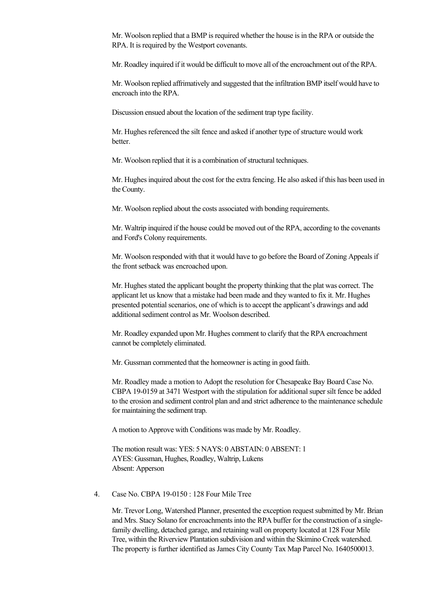Mr. Woolson replied that a BMP is required whether the house is in the RPA or outside the RPA. It is required by the Westport covenants.

Mr. Roadley inquired if it would be difficult to move all of the encroachment out of the RPA.

Mr. Woolson replied affrimatively and suggested that the infiltration BMP itself would have to encroach into the RPA.

Discussion ensued about the location of the sediment trap type facility.

Mr. Hughes referenced the silt fence and asked if another type of structure would work better.

Mr. Woolson replied that it is a combination of structural techniques.

Mr. Hughes inquired about the cost for the extra fencing. He also asked if this has been used in the County.

Mr. Woolson replied about the costs associated with bonding requirements.

Mr. Waltrip inquired if the house could be moved out of the RPA, according to the covenants and Ford's Colony requirements.

Mr. Woolson responded with that it would have to go before the Board of Zoning Appeals if the front setback was encroached upon.

Mr. Hughes stated the applicant bought the property thinking that the plat was correct. The applicant let us know that a mistake had been made and they wanted to fix it. Mr. Hughes presented potential scenarios, one of which is to accept the applicant's drawings and add additional sediment control as Mr. Woolson described.

Mr. Roadley expanded upon Mr. Hughes comment to clarify that the RPA encroachment cannot be completely eliminated.

Mr. Gussman commented that the homeowner is acting in good faith.

Mr. Roadley made a motion to Adopt the resolution for Chesapeake Bay Board Case No. CBPA 19-0159 at 3471 Westport with the stipulation for additional super silt fence be added to the erosion and sediment control plan and and strict adherence to the maintenance schedule for maintaining the sediment trap.

A motion to Approve with Conditions was made by Mr. Roadley.

The motion result was: YES: 5 NAYS: 0 ABSTAIN: 0 ABSENT: 1 AYES: Gussman, Hughes, Roadley, Waltrip, Lukens Absent: Apperson

### 4. Case No. CBPA 19-0150 : 128 Four Mile Tree

Mr. Trevor Long, Watershed Planner, presented the exception request submitted by Mr. Brian and Mrs. Stacy Solano for encroachments into the RPA buffer for the construction of a singlefamily dwelling, detached garage, and retaining wall on property located at 128 Four Mile Tree, within the Riverview Plantation subdivision and within the Skimino Creek watershed. The property is further identified as James City County Tax Map Parcel No. 1640500013.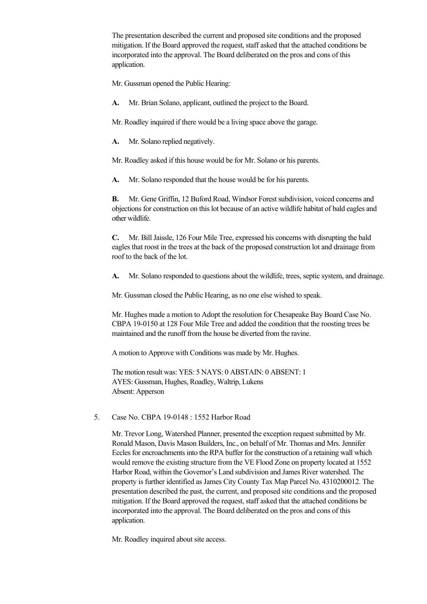The presentation described the current and proposed site conditions and the proposed mitigation. If the Board approved the request, staff asked that the attached conditions be incorporated into the approval. The Board deliberated on the pros and cons of this application.

Mr. Gussman opened the Public Hearing:

A. Mr. Brian Solano, applicant, outlined the project to the Board.

Mr. Roadley inquired if there would be a living space above the garage.

A. Mr. Solano replied negatively.

Mr. Roadley asked if this house would be for Mr. Solano or his parents.

A. Mr. Solano responded that the house would be for his parents.

**B.** Mr. Gene Griffin, 12 Buford Road, Windsor Forest subdivision, voiced concerns and objections for construction on this lot because of an active wildlife habitat of bald eagles and other wildlife.

**C.**  Mr. Bill Jaissle, 126 Four Mile Tree, expressed his concerns with disrupting the bald eagles that roost in the trees at the back of the proposed construction lot and drainage from roof to the back of the lot.

**A.** Mr. Solano responded to questions about the wildlife, trees, septic system, and drainage.

Mr. Gussman closed the Public Hearing, as no one else wished to speak.

Mr. Hughes made a motion to Adopt the resolution for Chesapeake Bay Board Case No. CBPA 19-0150 at 128 Four Mile Tree and added the condition that the roosting trees be maintained and the runoff from the house be diverted from the ravine.

A motion to Approve with Conditions was made by Mr. Hughes.

The motion result was: YES: 5 NAYS: 0 ABSTAIN: 0 ABSENT: 1 AYES: Gussman, Hughes, Roadley, Waltrip, Lukens Absent: Apperson

# 5. Case No. CBPA 19-0148 : 1552 Harbor Road

Mr. Trevor Long, Watershed Planner, presented the exception request submitted by Mr. Ronald Mason, Davis Mason Builders, Inc., on behalf of Mr. Thomas and Mrs. Jennifer Eccles for encroachments into the RPA buffer for the construction of a retaining wall which would remove the existing structure from the VE Flood Zone on property located at 1552 Harbor Road, within the Governor's Land subdivision and James River watershed. The property is further identified as James City County Tax Map Parcel No. 4310200012. The presentation described the past, the current, and proposed site conditions and the proposed mitigation. If the Board approved the request, staff asked that the attached conditions be incorporated into the approval. The Board deliberated on the pros and cons of this application.

Mr. Roadley inquired about site access.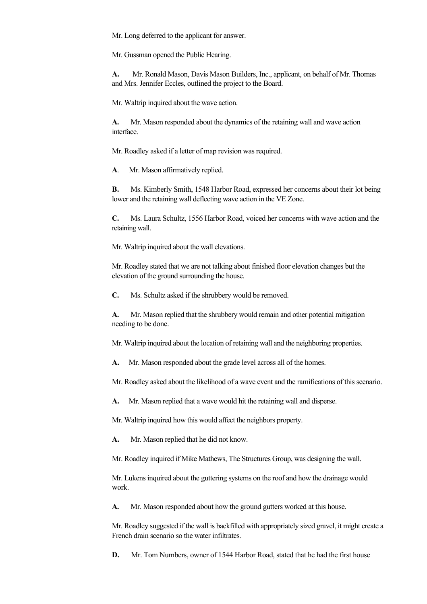Mr. Long deferred to the applicant for answer.

Mr. Gussman opened the Public Hearing.

**A.**  Mr. Ronald Mason, Davis Mason Builders, Inc., applicant, on behalf of Mr. Thomas and Mrs. Jennifer Eccles, outlined the project to the Board.

Mr. Waltrip inquired about the wave action.

**A.** Mr. Mason responded about the dynamics of the retaining wall and wave action interface.

Mr. Roadley asked if a letter of map revision was required.

A. Mr. Mason affirmatively replied.

**B.** Ms. Kimberly Smith, 1548 Harbor Road, expressed her concerns about their lot being lower and the retaining wall deflecting wave action in the VE Zone.

**C.** Ms. Laura Schultz, 1556 Harbor Road, voiced her concerns with wave action and the retaining wall.

Mr. Waltrip inquired about the wall elevations.

Mr. Roadley stated that we are not talking about finished floor elevation changes but the elevation of the ground surrounding the house.

**C.** Ms. Schultz asked if the shrubbery would be removed.

**A.** Mr. Mason replied that the shrubbery would remain and other potential mitigation needing to be done.

Mr. Waltrip inquired about the location of retaining wall and the neighboring properties.

A. Mr. Mason responded about the grade level across all of the homes.

Mr. Roadley asked about the likelihood of a wave event and the ramifications of this scenario.

A. Mr. Mason replied that a wave would hit the retaining wall and disperse.

Mr. Waltrip inquired how this would affect the neighbors property.

**A.** Mr. Mason replied that he did not know.

Mr. Roadley inquired if Mike Mathews, The Structures Group, was designing the wall.

Mr. Lukens inquired about the guttering systems on the roof and how the drainage would work.

**A.** Mr. Mason responded about how the ground gutters worked at this house.

Mr. Roadley suggested if the wall is backfilled with appropriately sized gravel, it might create a French drain scenario so the water infiltrates.

**D.** Mr. Tom Numbers, owner of 1544 Harbor Road, stated that he had the first house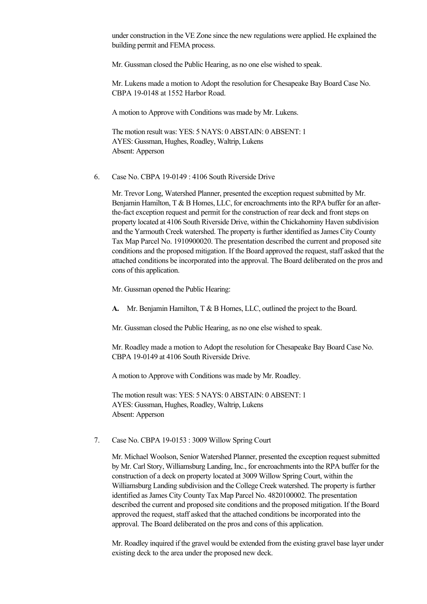under construction in the VE Zone since the new regulations were applied. He explained the building permit and FEMA process.

Mr. Gussman closed the Public Hearing, as no one else wished to speak.

Mr. Lukens made a motion to Adopt the resolution for Chesapeake Bay Board Case No. CBPA 19-0148 at 1552 Harbor Road.

A motion to Approve with Conditions was made by Mr. Lukens.

The motion result was: YES: 5 NAYS: 0 ABSTAIN: 0 ABSENT: 1 AYES: Gussman, Hughes, Roadley, Waltrip, Lukens Absent: Apperson

6. Case No. CBPA 19-0149 : 4106 South Riverside Drive

Mr. Trevor Long, Watershed Planner, presented the exception request submitted by Mr. Benjamin Hamilton,  $T \& B$  Homes, LLC, for encroachments into the RPA buffer for an afterthe-fact exception request and permit for the construction of rear deck and front steps on property located at 4106 South Riverside Drive, within the Chickahominy Haven subdivision and the Yarmouth Creek watershed. The property is further identified as James City County Tax Map Parcel No. 1910900020. The presentation described the current and proposed site conditions and the proposed mitigation. If the Board approved the request, staff asked that the attached conditions be incorporated into the approval. The Board deliberated on the pros and cons of this application.

Mr. Gussman opened the Public Hearing:

**A.** Mr. Benjamin Hamilton, T & B Homes, LLC, outlined the project to the Board.

Mr. Gussman closed the Public Hearing, as no one else wished to speak.

Mr. Roadley made a motion to Adopt the resolution for Chesapeake Bay Board Case No. CBPA 19-0149 at 4106 South Riverside Drive.

A motion to Approve with Conditions was made by Mr. Roadley.

The motion result was: YES: 5 NAYS: 0 ABSTAIN: 0 ABSENT: 1 AYES: Gussman, Hughes, Roadley, Waltrip, Lukens Absent: Apperson

#### 7. Case No. CBPA 19-0153 : 3009 Willow Spring Court

Mr. Michael Woolson, Senior Watershed Planner, presented the exception request submitted by Mr. Carl Story, Williamsburg Landing, Inc., for encroachments into the RPA buffer for the construction of a deck on property located at 3009 Willow Spring Court, within the Williamsburg Landing subdivision and the College Creek watershed. The property is further identified as James City County Tax Map Parcel No. 4820100002. The presentation described the current and proposed site conditions and the proposed mitigation. If the Board approved the request, staff asked that the attached conditions be incorporated into the approval. The Board deliberated on the pros and cons of this application.

Mr. Roadley inquired if the gravel would be extended from the existing gravel base layer under existing deck to the area under the proposed new deck.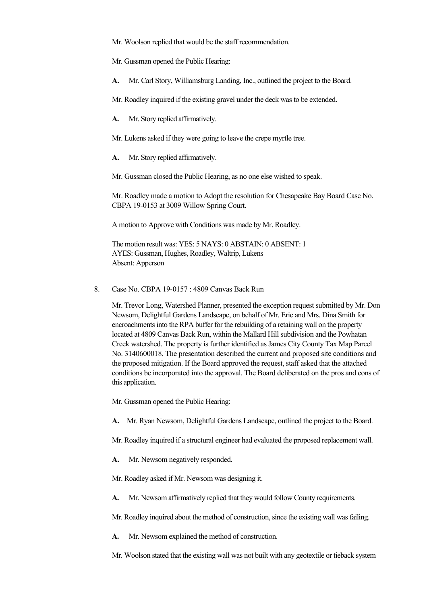Mr. Woolson replied that would be the staff recommendation.

Mr. Gussman opened the Public Hearing:

- A. Mr. Carl Story, Williamsburg Landing, Inc., outlined the project to the Board.
- Mr. Roadley inquired if the existing gravel under the deck was to be extended.
- **A.** Mr. Story replied affirmatively.

Mr. Lukens asked if they were going to leave the crepe myrtle tree.

A. Mr. Story replied affirmatively.

Mr. Gussman closed the Public Hearing, as no one else wished to speak.

Mr. Roadley made a motion to Adopt the resolution for Chesapeake Bay Board Case No. CBPA 19-0153 at 3009 Willow Spring Court.

A motion to Approve with Conditions was made by Mr. Roadley.

The motion result was: YES: 5 NAYS: 0 ABSTAIN: 0 ABSENT: 1 AYES: Gussman, Hughes, Roadley, Waltrip, Lukens Absent: Apperson

### 8. Case No. CBPA 19-0157 : 4809 Canvas Back Run

Mr. Trevor Long, Watershed Planner, presented the exception request submitted by Mr. Don Newsom, Delightful Gardens Landscape, on behalf of Mr. Eric and Mrs. Dina Smith for encroachments into the RPA buffer for the rebuilding of a retaining wall on the property located at 4809 Canvas Back Run, within the Mallard Hill subdivision and the Powhatan Creek watershed. The property is further identified as James City County Tax Map Parcel No. 3140600018. The presentation described the current and proposed site conditions and the proposed mitigation. If the Board approved the request, staff asked that the attached conditions be incorporated into the approval. The Board deliberated on the pros and cons of this application.

Mr. Gussman opened the Public Hearing:

**A.** Mr. Ryan Newsom, Delightful Gardens Landscape, outlined the project to the Board.

Mr. Roadley inquired if a structural engineer had evaluated the proposed replacement wall.

- A. Mr. Newsom negatively responded.
- Mr. Roadley asked if Mr. Newsom was designing it.
- **A.** Mr. Newsom affirmatively replied that they would follow County requirements.
- Mr. Roadley inquired about the method of construction, since the existing wall was failing.
- **A.** Mr. Newsom explained the method of construction.

Mr. Woolson stated that the existing wall was not built with any geotextile or tieback system